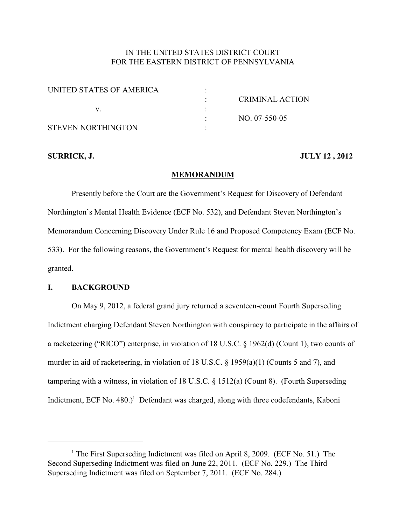# IN THE UNITED STATES DISTRICT COURT FOR THE EASTERN DISTRICT OF PENNSYLVANIA

| UNITED STATES OF AMERICA  |                 |
|---------------------------|-----------------|
|                           | CRIMINAL ACTION |
|                           |                 |
|                           | $NO. 07-550-05$ |
| <b>STEVEN NORTHINGTON</b> |                 |

### **SURRICK, J. JULY 12 , 2012**

#### **MEMORANDUM**

Presently before the Court are the Government's Request for Discovery of Defendant Northington's Mental Health Evidence (ECF No. 532), and Defendant Steven Northington's Memorandum Concerning Discovery Under Rule 16 and Proposed Competency Exam (ECF No. 533). For the following reasons, the Government's Request for mental health discovery will be granted.

#### **I. BACKGROUND**

On May 9, 2012, a federal grand jury returned a seventeen-count Fourth Superseding Indictment charging Defendant Steven Northington with conspiracy to participate in the affairs of a racketeering ("RICO") enterprise, in violation of 18 U.S.C. § 1962(d) (Count 1), two counts of murder in aid of racketeering, in violation of 18 U.S.C. § 1959(a)(1) (Counts 5 and 7), and tampering with a witness, in violation of 18 U.S.C. § 1512(a) (Count 8). (Fourth Superseding Indictment, ECF No. 480.)<sup>1</sup> Defendant was charged, along with three codefendants, Kaboni

<sup>&</sup>lt;sup>1</sup> The First Superseding Indictment was filed on April 8, 2009. (ECF No. 51.) The Second Superseding Indictment was filed on June 22, 2011. (ECF No. 229.) The Third Superseding Indictment was filed on September 7, 2011. (ECF No. 284.)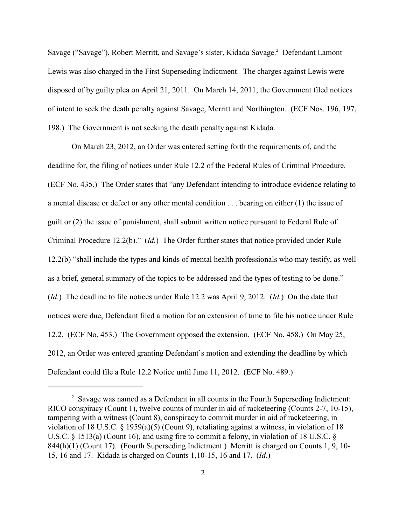Savage ("Savage"), Robert Merritt, and Savage's sister, Kidada Savage.<sup>2</sup> Defendant Lamont Lewis was also charged in the First Superseding Indictment. The charges against Lewis were disposed of by guilty plea on April 21, 2011. On March 14, 2011, the Government filed notices of intent to seek the death penalty against Savage, Merritt and Northington. (ECF Nos. 196, 197, 198.) The Government is not seeking the death penalty against Kidada.

On March 23, 2012, an Order was entered setting forth the requirements of, and the deadline for, the filing of notices under Rule 12.2 of the Federal Rules of Criminal Procedure. (ECF No. 435.) The Order states that "any Defendant intending to introduce evidence relating to a mental disease or defect or any other mental condition . . . bearing on either (1) the issue of guilt or (2) the issue of punishment, shall submit written notice pursuant to Federal Rule of Criminal Procedure 12.2(b)." (*Id.*) The Order further states that notice provided under Rule 12.2(b) "shall include the types and kinds of mental health professionals who may testify, as well as a brief, general summary of the topics to be addressed and the types of testing to be done." (*Id.*) The deadline to file notices under Rule 12.2 was April 9, 2012. (*Id.*) On the date that notices were due, Defendant filed a motion for an extension of time to file his notice under Rule 12.2. (ECF No. 453.) The Government opposed the extension. (ECF No. 458.) On May 25, 2012, an Order was entered granting Defendant's motion and extending the deadline by which Defendant could file a Rule 12.2 Notice until June 11, 2012. (ECF No. 489.)

<sup>&</sup>lt;sup>2</sup> Savage was named as a Defendant in all counts in the Fourth Superseding Indictment: RICO conspiracy (Count 1), twelve counts of murder in aid of racketeering (Counts 2-7, 10-15), tampering with a witness (Count 8), conspiracy to commit murder in aid of racketeering, in violation of 18 U.S.C. § 1959(a)(5) (Count 9), retaliating against a witness, in violation of 18 U.S.C. § 1513(a) (Count 16), and using fire to commit a felony, in violation of 18 U.S.C. § 844(h)(1) (Count 17). (Fourth Superseding Indictment.) Merritt is charged on Counts 1, 9, 10- 15, 16 and 17. Kidada is charged on Counts 1,10-15, 16 and 17. (*Id.*)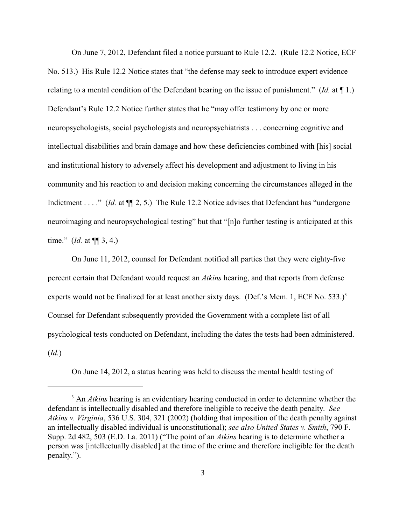On June 7, 2012, Defendant filed a notice pursuant to Rule 12.2. (Rule 12.2 Notice, ECF No. 513.) His Rule 12.2 Notice states that "the defense may seek to introduce expert evidence relating to a mental condition of the Defendant bearing on the issue of punishment." (*Id.* at ¶ 1.) Defendant's Rule 12.2 Notice further states that he "may offer testimony by one or more neuropsychologists, social psychologists and neuropsychiatrists . . . concerning cognitive and intellectual disabilities and brain damage and how these deficiencies combined with [his] social and institutional history to adversely affect his development and adjustment to living in his community and his reaction to and decision making concerning the circumstances alleged in the Indictment . . . ." *(Id.* at  $\P$ [2, 5.) The Rule 12.2 Notice advises that Defendant has "undergone" neuroimaging and neuropsychological testing" but that "[n]o further testing is anticipated at this time." (*Id.* at ¶¶ 3, 4.)

On June 11, 2012, counsel for Defendant notified all parties that they were eighty-five percent certain that Defendant would request an *Atkins* hearing, and that reports from defense experts would not be finalized for at least another sixty days. (Def.'s Mem. 1, ECF No.  $533.$ )<sup>3</sup> Counsel for Defendant subsequently provided the Government with a complete list of all psychological tests conducted on Defendant, including the dates the tests had been administered. (*Id.*)

On June 14, 2012, a status hearing was held to discuss the mental health testing of

<sup>&</sup>lt;sup>3</sup> An *Atkins* hearing is an evidentiary hearing conducted in order to determine whether the defendant is intellectually disabled and therefore ineligible to receive the death penalty. *See Atkins v. Virginia*, 536 U.S. 304, 321 (2002) (holding that imposition of the death penalty against an intellectually disabled individual is unconstitutional); *see also United States v. Smith*, 790 F. Supp. 2d 482, 503 (E.D. La. 2011) ("The point of an *Atkins* hearing is to determine whether a person was [intellectually disabled] at the time of the crime and therefore ineligible for the death penalty.").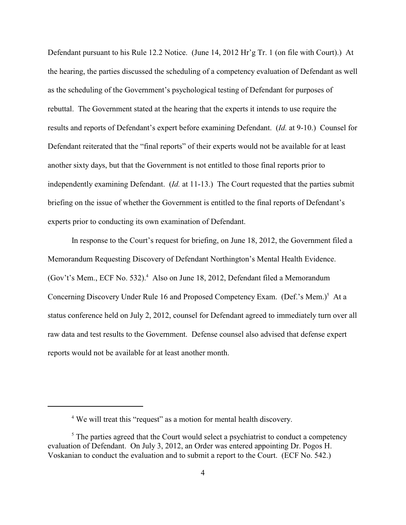Defendant pursuant to his Rule 12.2 Notice. (June 14, 2012 Hr'g Tr. 1 (on file with Court).) At the hearing, the parties discussed the scheduling of a competency evaluation of Defendant as well as the scheduling of the Government's psychological testing of Defendant for purposes of rebuttal. The Government stated at the hearing that the experts it intends to use require the results and reports of Defendant's expert before examining Defendant. (*Id.* at 9-10.) Counsel for Defendant reiterated that the "final reports" of their experts would not be available for at least another sixty days, but that the Government is not entitled to those final reports prior to independently examining Defendant. (*Id.* at 11-13.) The Court requested that the parties submit briefing on the issue of whether the Government is entitled to the final reports of Defendant's experts prior to conducting its own examination of Defendant.

In response to the Court's request for briefing, on June 18, 2012, the Government filed a Memorandum Requesting Discovery of Defendant Northington's Mental Health Evidence. (Gov't's Mem., ECF No. 532). $4$  Also on June 18, 2012, Defendant filed a Memorandum Concerning Discovery Under Rule 16 and Proposed Competency Exam. (Def.'s Mem.)<sup>5</sup> At a status conference held on July 2, 2012, counsel for Defendant agreed to immediately turn over all raw data and test results to the Government. Defense counsel also advised that defense expert reports would not be available for at least another month.

<sup>&</sup>lt;sup>4</sup> We will treat this "request" as a motion for mental health discovery.

 $5$  The parties agreed that the Court would select a psychiatrist to conduct a competency evaluation of Defendant. On July 3, 2012, an Order was entered appointing Dr. Pogos H. Voskanian to conduct the evaluation and to submit a report to the Court. (ECF No. 542.)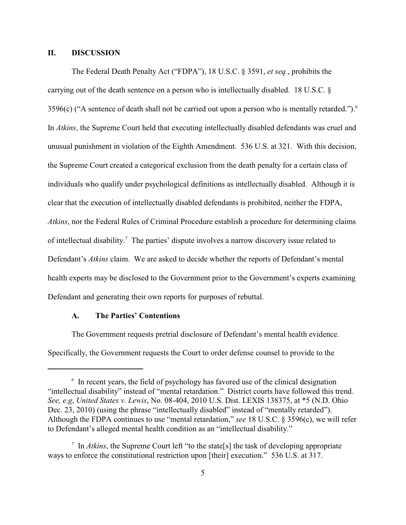## **II. DISCUSSION**

The Federal Death Penalty Act ("FDPA"), 18 U.S.C. § 3591, *et seq.*, prohibits the carrying out of the death sentence on a person who is intellectually disabled. 18 U.S.C. § 3596(c) ("A sentence of death shall not be carried out upon a person who is mentally retarded.").<sup>6</sup> In *Atkins*, the Supreme Court held that executing intellectually disabled defendants was cruel and unusual punishment in violation of the Eighth Amendment. 536 U.S. at 321. With this decision, the Supreme Court created a categorical exclusion from the death penalty for a certain class of individuals who qualify under psychological definitions as intellectually disabled. Although it is clear that the execution of intellectually disabled defendants is prohibited, neither the FDPA, *Atkins*, nor the Federal Rules of Criminal Procedure establish a procedure for determining claims of intellectual disability.<sup>7</sup> The parties' dispute involves a narrow discovery issue related to Defendant's *Atkins* claim. We are asked to decide whether the reports of Defendant's mental health experts may be disclosed to the Government prior to the Government's experts examining Defendant and generating their own reports for purposes of rebuttal.

#### **A. The Parties' Contentions**

The Government requests pretrial disclosure of Defendant's mental health evidence. Specifically, the Government requests the Court to order defense counsel to provide to the

 $6\,$  In recent years, the field of psychology has favored use of the clinical designation "intellectual disability" instead of "mental retardation." District courts have followed this trend. *See, e.g*, *United States v. Lewis*, No. 08-404, 2010 U.S. Dist. LEXIS 138375, at \*5 (N.D. Ohio Dec. 23, 2010) (using the phrase "intellectually disabled" instead of "mentally retarded"). Although the FDPA continues to use "mental retardation," *see* 18 U.S.C. § 3596(c), we will refer to Defendant's alleged mental health condition as an "intellectual disability."

<sup>&</sup>lt;sup>7</sup> In *Atkins*, the Supreme Court left "to the state [s] the task of developing appropriate ways to enforce the constitutional restriction upon [their] execution." 536 U.S. at 317.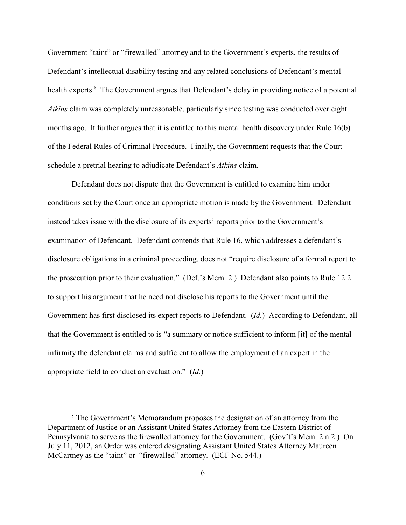Government "taint" or "firewalled" attorney and to the Government's experts, the results of Defendant's intellectual disability testing and any related conclusions of Defendant's mental health experts.<sup>8</sup> The Government argues that Defendant's delay in providing notice of a potential *Atkins* claim was completely unreasonable, particularly since testing was conducted over eight months ago. It further argues that it is entitled to this mental health discovery under Rule 16(b) of the Federal Rules of Criminal Procedure. Finally, the Government requests that the Court schedule a pretrial hearing to adjudicate Defendant's *Atkins* claim.

Defendant does not dispute that the Government is entitled to examine him under conditions set by the Court once an appropriate motion is made by the Government. Defendant instead takes issue with the disclosure of its experts' reports prior to the Government's examination of Defendant. Defendant contends that Rule 16, which addresses a defendant's disclosure obligations in a criminal proceeding, does not "require disclosure of a formal report to the prosecution prior to their evaluation." (Def.'s Mem. 2.) Defendant also points to Rule 12.2 to support his argument that he need not disclose his reports to the Government until the Government has first disclosed its expert reports to Defendant. (*Id.*) According to Defendant, all that the Government is entitled to is "a summary or notice sufficient to inform [it] of the mental infirmity the defendant claims and sufficient to allow the employment of an expert in the appropriate field to conduct an evaluation." (*Id.*)

<sup>&</sup>lt;sup>8</sup> The Government's Memorandum proposes the designation of an attorney from the Department of Justice or an Assistant United States Attorney from the Eastern District of Pennsylvania to serve as the firewalled attorney for the Government. (Gov't's Mem. 2 n.2.) On July 11, 2012, an Order was entered designating Assistant United States Attorney Maureen McCartney as the "taint" or "firewalled" attorney. (ECF No. 544.)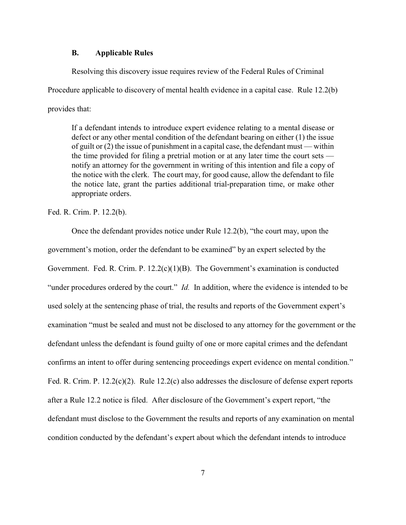### **B. Applicable Rules**

Resolving this discovery issue requires review of the Federal Rules of Criminal Procedure applicable to discovery of mental health evidence in a capital case. Rule 12.2(b) provides that:

If a defendant intends to introduce expert evidence relating to a mental disease or defect or any other mental condition of the defendant bearing on either (1) the issue of guilt or (2) the issue of punishment in a capital case, the defendant must — within the time provided for filing a pretrial motion or at any later time the court sets notify an attorney for the government in writing of this intention and file a copy of the notice with the clerk. The court may, for good cause, allow the defendant to file the notice late, grant the parties additional trial-preparation time, or make other appropriate orders.

Fed. R. Crim. P. 12.2(b).

Once the defendant provides notice under Rule 12.2(b), "the court may, upon the government's motion, order the defendant to be examined" by an expert selected by the Government. Fed. R. Crim. P. 12.2(c)(1)(B). The Government's examination is conducted "under procedures ordered by the court." *Id.* In addition, where the evidence is intended to be used solely at the sentencing phase of trial, the results and reports of the Government expert's examination "must be sealed and must not be disclosed to any attorney for the government or the defendant unless the defendant is found guilty of one or more capital crimes and the defendant confirms an intent to offer during sentencing proceedings expert evidence on mental condition." Fed. R. Crim. P. 12.2(c)(2). Rule 12.2(c) also addresses the disclosure of defense expert reports after a Rule 12.2 notice is filed. After disclosure of the Government's expert report, "the defendant must disclose to the Government the results and reports of any examination on mental condition conducted by the defendant's expert about which the defendant intends to introduce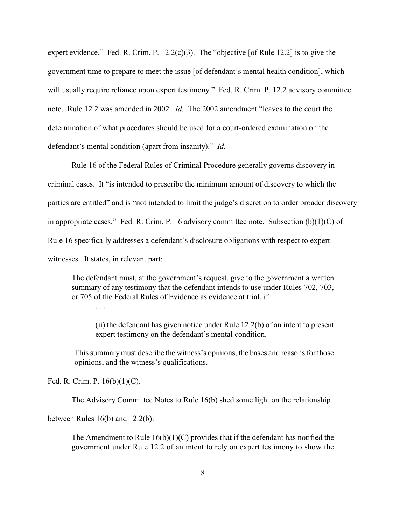expert evidence." Fed. R. Crim. P.  $12.2(c)(3)$ . The "objective [of Rule 12.2] is to give the government time to prepare to meet the issue [of defendant's mental health condition], which will usually require reliance upon expert testimony." Fed. R. Crim. P. 12.2 advisory committee note. Rule 12.2 was amended in 2002. *Id.* The 2002 amendment "leaves to the court the determination of what procedures should be used for a court-ordered examination on the defendant's mental condition (apart from insanity)." *Id.*

Rule 16 of the Federal Rules of Criminal Procedure generally governs discovery in criminal cases. It "is intended to prescribe the minimum amount of discovery to which the parties are entitled" and is "not intended to limit the judge's discretion to order broader discovery in appropriate cases." Fed. R. Crim. P. 16 advisory committee note. Subsection  $(b)(1)(C)$  of Rule 16 specifically addresses a defendant's disclosure obligations with respect to expert witnesses. It states, in relevant part:

The defendant must, at the government's request, give to the government a written summary of any testimony that the defendant intends to use under Rules 702, 703, or 705 of the Federal Rules of Evidence as evidence at trial, if—

(ii) the defendant has given notice under Rule 12.2(b) of an intent to present expert testimony on the defendant's mental condition.

This summary must describe the witness's opinions, the bases and reasons for those opinions, and the witness's qualifications.

Fed. R. Crim. P. 16(b)(1)(C).

The Advisory Committee Notes to Rule 16(b) shed some light on the relationship

between Rules 16(b) and 12.2(b):

The Amendment to Rule  $16(b)(1)(C)$  provides that if the defendant has notified the government under Rule 12.2 of an intent to rely on expert testimony to show the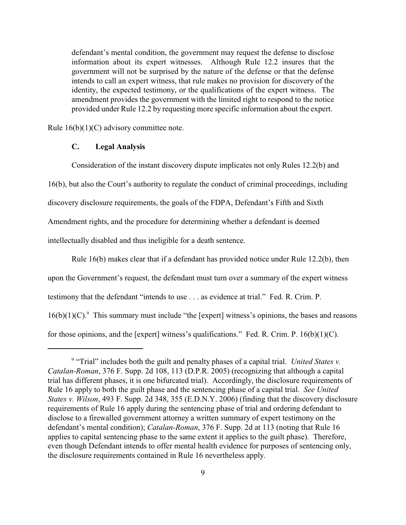defendant's mental condition, the government may request the defense to disclose information about its expert witnesses. Although Rule 12.2 insures that the government will not be surprised by the nature of the defense or that the defense intends to call an expert witness, that rule makes no provision for discovery of the identity, the expected testimony, or the qualifications of the expert witness. The amendment provides the government with the limited right to respond to the notice provided under Rule 12.2 by requesting more specific information about the expert.

Rule  $16(b)(1)(C)$  advisory committee note.

# **C. Legal Analysis**

Consideration of the instant discovery dispute implicates not only Rules 12.2(b) and 16(b), but also the Court's authority to regulate the conduct of criminal proceedings, including discovery disclosure requirements, the goals of the FDPA, Defendant's Fifth and Sixth Amendment rights, and the procedure for determining whether a defendant is deemed intellectually disabled and thus ineligible for a death sentence.

Rule 16(b) makes clear that if a defendant has provided notice under Rule 12.2(b), then upon the Government's request, the defendant must turn over a summary of the expert witness testimony that the defendant "intends to use . . . as evidence at trial." Fed. R. Crim. P.  $16(b)(1)(C)$ . This summary must include "the [expert] witness's opinions, the bases and reasons for those opinions, and the [expert] witness's qualifications." Fed. R. Crim. P.  $16(b)(1)(C)$ .

<sup>&</sup>lt;sup>9</sup> "Trial" includes both the guilt and penalty phases of a capital trial. *United States v. Catalan-Roman*, 376 F. Supp. 2d 108, 113 (D.P.R. 2005) (recognizing that although a capital trial has different phases, it is one bifurcated trial). Accordingly, the disclosure requirements of Rule 16 apply to both the guilt phase and the sentencing phase of a capital trial. *See United States v. Wilson*, 493 F. Supp. 2d 348, 355 (E.D.N.Y. 2006) (finding that the discovery disclosure requirements of Rule 16 apply during the sentencing phase of trial and ordering defendant to disclose to a firewalled government attorney a written summary of expert testimony on the defendant's mental condition); *Catalan-Roman*, 376 F. Supp. 2d at 113 (noting that Rule 16 applies to capital sentencing phase to the same extent it applies to the guilt phase). Therefore, even though Defendant intends to offer mental health evidence for purposes of sentencing only, the disclosure requirements contained in Rule 16 nevertheless apply.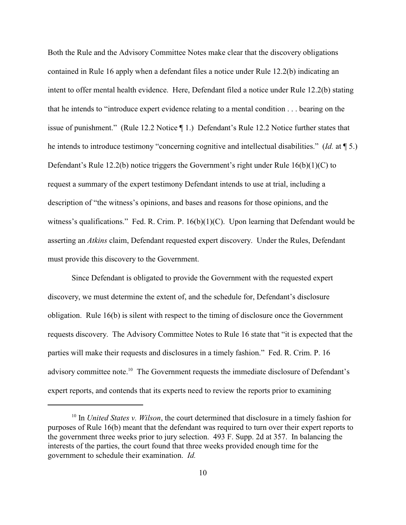Both the Rule and the Advisory Committee Notes make clear that the discovery obligations contained in Rule 16 apply when a defendant files a notice under Rule 12.2(b) indicating an intent to offer mental health evidence. Here, Defendant filed a notice under Rule 12.2(b) stating that he intends to "introduce expert evidence relating to a mental condition . . . bearing on the issue of punishment." (Rule 12.2 Notice ¶ 1.) Defendant's Rule 12.2 Notice further states that he intends to introduce testimony "concerning cognitive and intellectual disabilities." (*Id.* at ¶ 5.) Defendant's Rule 12.2(b) notice triggers the Government's right under Rule  $16(b)(1)(C)$  to request a summary of the expert testimony Defendant intends to use at trial, including a description of "the witness's opinions, and bases and reasons for those opinions, and the witness's qualifications." Fed. R. Crim. P. 16(b)(1)(C). Upon learning that Defendant would be asserting an *Atkins* claim, Defendant requested expert discovery. Under the Rules, Defendant must provide this discovery to the Government.

Since Defendant is obligated to provide the Government with the requested expert discovery, we must determine the extent of, and the schedule for, Defendant's disclosure obligation. Rule 16(b) is silent with respect to the timing of disclosure once the Government requests discovery. The Advisory Committee Notes to Rule 16 state that "it is expected that the parties will make their requests and disclosures in a timely fashion." Fed. R. Crim. P. 16 advisory committee note.<sup>10</sup> The Government requests the immediate disclosure of Defendant's expert reports, and contends that its experts need to review the reports prior to examining

 $10$  In *United States v. Wilson*, the court determined that disclosure in a timely fashion for purposes of Rule 16(b) meant that the defendant was required to turn over their expert reports to the government three weeks prior to jury selection. 493 F. Supp. 2d at 357. In balancing the interests of the parties, the court found that three weeks provided enough time for the government to schedule their examination. *Id.*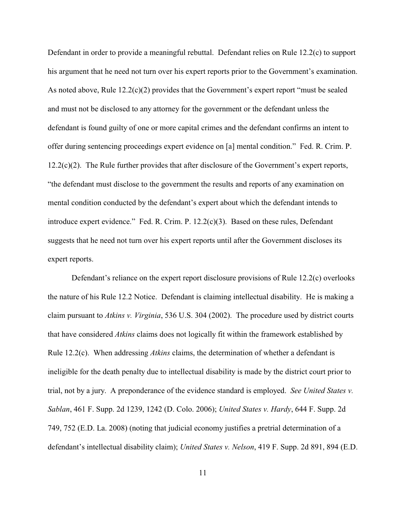Defendant in order to provide a meaningful rebuttal. Defendant relies on Rule 12.2(c) to support his argument that he need not turn over his expert reports prior to the Government's examination. As noted above, Rule  $12.2(c)(2)$  provides that the Government's expert report "must be sealed and must not be disclosed to any attorney for the government or the defendant unless the defendant is found guilty of one or more capital crimes and the defendant confirms an intent to offer during sentencing proceedings expert evidence on [a] mental condition." Fed. R. Crim. P. 12.2(c)(2). The Rule further provides that after disclosure of the Government's expert reports, "the defendant must disclose to the government the results and reports of any examination on mental condition conducted by the defendant's expert about which the defendant intends to introduce expert evidence." Fed. R. Crim. P. 12.2(c)(3). Based on these rules, Defendant suggests that he need not turn over his expert reports until after the Government discloses its expert reports.

Defendant's reliance on the expert report disclosure provisions of Rule 12.2(c) overlooks the nature of his Rule 12.2 Notice. Defendant is claiming intellectual disability. He is making a claim pursuant to *Atkins v. Virginia*, 536 U.S. 304 (2002). The procedure used by district courts that have considered *Atkins* claims does not logically fit within the framework established by Rule 12.2(c). When addressing *Atkins* claims, the determination of whether a defendant is ineligible for the death penalty due to intellectual disability is made by the district court prior to trial, not by a jury. A preponderance of the evidence standard is employed. *See United States v. Sablan*, 461 F. Supp. 2d 1239, 1242 (D. Colo. 2006); *United States v. Hardy*, 644 F. Supp. 2d 749, 752 (E.D. La. 2008) (noting that judicial economy justifies a pretrial determination of a defendant's intellectual disability claim); *United States v. Nelson*, 419 F. Supp. 2d 891, 894 (E.D.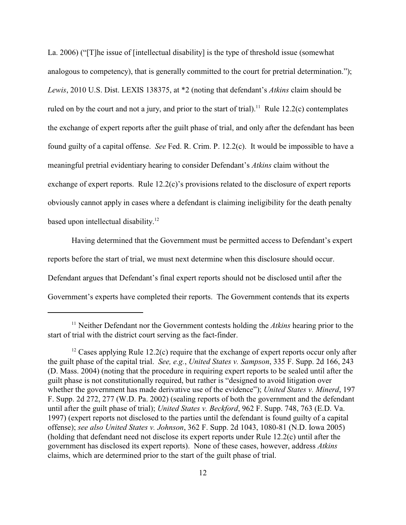La. 2006) ("[T]he issue of [intellectual disability] is the type of threshold issue (somewhat analogous to competency), that is generally committed to the court for pretrial determination."); *Lewis*, 2010 U.S. Dist. LEXIS 138375, at \*2 (noting that defendant's *Atkins* claim should be ruled on by the court and not a jury, and prior to the start of trial).<sup>11</sup> Rule 12.2(c) contemplates the exchange of expert reports after the guilt phase of trial, and only after the defendant has been found guilty of a capital offense. *See* Fed. R. Crim. P. 12.2(c). It would be impossible to have a meaningful pretrial evidentiary hearing to consider Defendant's *Atkins* claim without the exchange of expert reports. Rule 12.2(c)'s provisions related to the disclosure of expert reports obviously cannot apply in cases where a defendant is claiming ineligibility for the death penalty based upon intellectual disability.<sup>12</sup>

Having determined that the Government must be permitted access to Defendant's expert reports before the start of trial, we must next determine when this disclosure should occur. Defendant argues that Defendant's final expert reports should not be disclosed until after the Government's experts have completed their reports. The Government contends that its experts

 $\frac{11}{11}$  Neither Defendant nor the Government contests holding the *Atkins* hearing prior to the start of trial with the district court serving as the fact-finder.

 $12$  Cases applying Rule 12.2(c) require that the exchange of expert reports occur only after the guilt phase of the capital trial. *See, e.g.*, *United States v. Sampson*, 335 F. Supp. 2d 166, 243 (D. Mass. 2004) (noting that the procedure in requiring expert reports to be sealed until after the guilt phase is not constitutionally required, but rather is "designed to avoid litigation over whether the government has made derivative use of the evidence"); *United States v. Minerd*, 197 F. Supp. 2d 272, 277 (W.D. Pa. 2002) (sealing reports of both the government and the defendant until after the guilt phase of trial); *United States v. Beckford*, 962 F. Supp. 748, 763 (E.D. Va. 1997) (expert reports not disclosed to the parties until the defendant is found guilty of a capital offense); *see also United States v. Johnson*, 362 F. Supp. 2d 1043, 1080-81 (N.D. Iowa 2005) (holding that defendant need not disclose its expert reports under Rule 12.2(c) until after the government has disclosed its expert reports). None of these cases, however, address *Atkins* claims, which are determined prior to the start of the guilt phase of trial.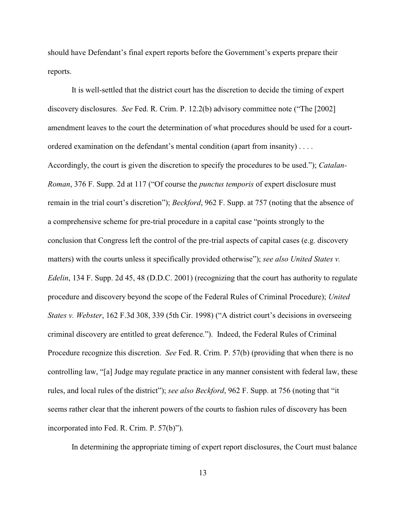should have Defendant's final expert reports before the Government's experts prepare their reports.

It is well-settled that the district court has the discretion to decide the timing of expert discovery disclosures. *See* Fed. R. Crim. P. 12.2(b) advisory committee note ("The [2002] amendment leaves to the court the determination of what procedures should be used for a courtordered examination on the defendant's mental condition (apart from insanity) . . . . Accordingly, the court is given the discretion to specify the procedures to be used."); *Catalan-Roman*, 376 F. Supp. 2d at 117 ("Of course the *punctus temporis* of expert disclosure must remain in the trial court's discretion"); *Beckford*, 962 F. Supp. at 757 (noting that the absence of a comprehensive scheme for pre-trial procedure in a capital case "points strongly to the conclusion that Congress left the control of the pre-trial aspects of capital cases (e.g. discovery matters) with the courts unless it specifically provided otherwise"); *see also United States v. Edelin*, 134 F. Supp. 2d 45, 48 (D.D.C. 2001) (recognizing that the court has authority to regulate procedure and discovery beyond the scope of the Federal Rules of Criminal Procedure); *United States v. Webster*, 162 F.3d 308, 339 (5th Cir. 1998) ("A district court's decisions in overseeing criminal discovery are entitled to great deference."). Indeed, the Federal Rules of Criminal Procedure recognize this discretion. *See* Fed. R. Crim. P. 57(b) (providing that when there is no controlling law, "[a] Judge may regulate practice in any manner consistent with federal law, these rules, and local rules of the district"); *see also Beckford*, 962 F. Supp. at 756 (noting that "it seems rather clear that the inherent powers of the courts to fashion rules of discovery has been incorporated into Fed. R. Crim. P. 57(b)").

In determining the appropriate timing of expert report disclosures, the Court must balance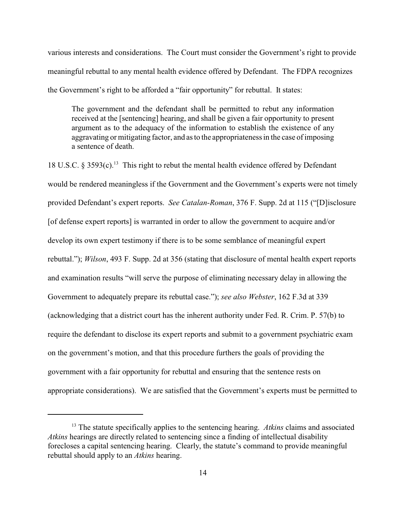various interests and considerations. The Court must consider the Government's right to provide meaningful rebuttal to any mental health evidence offered by Defendant. The FDPA recognizes the Government's right to be afforded a "fair opportunity" for rebuttal. It states:

The government and the defendant shall be permitted to rebut any information received at the [sentencing] hearing, and shall be given a fair opportunity to present argument as to the adequacy of the information to establish the existence of any aggravating or mitigating factor, and as to the appropriateness in the case of imposing a sentence of death.

18 U.S.C. § 3593 $(c)$ .<sup>13</sup> This right to rebut the mental health evidence offered by Defendant would be rendered meaningless if the Government and the Government's experts were not timely provided Defendant's expert reports. *See Catalan-Roman*, 376 F. Supp. 2d at 115 ("[D]isclosure [of defense expert reports] is warranted in order to allow the government to acquire and/or develop its own expert testimony if there is to be some semblance of meaningful expert rebuttal."); *Wilson*, 493 F. Supp. 2d at 356 (stating that disclosure of mental health expert reports and examination results "will serve the purpose of eliminating necessary delay in allowing the Government to adequately prepare its rebuttal case."); *see also Webster*, 162 F.3d at 339 (acknowledging that a district court has the inherent authority under Fed. R. Crim. P. 57(b) to require the defendant to disclose its expert reports and submit to a government psychiatric exam on the government's motion, and that this procedure furthers the goals of providing the government with a fair opportunity for rebuttal and ensuring that the sentence rests on appropriate considerations). We are satisfied that the Government's experts must be permitted to

<sup>&</sup>lt;sup>13</sup> The statute specifically applies to the sentencing hearing. *Atkins* claims and associated *Atkins* hearings are directly related to sentencing since a finding of intellectual disability forecloses a capital sentencing hearing. Clearly, the statute's command to provide meaningful rebuttal should apply to an *Atkins* hearing.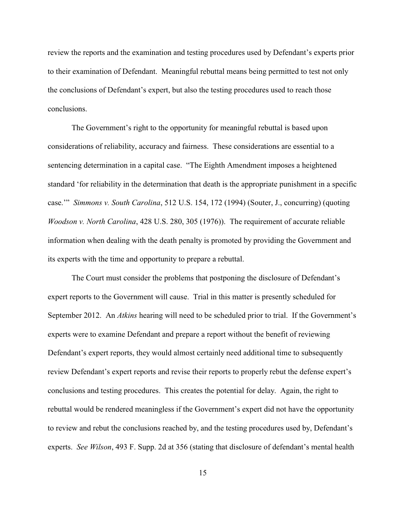review the reports and the examination and testing procedures used by Defendant's experts prior to their examination of Defendant. Meaningful rebuttal means being permitted to test not only the conclusions of Defendant's expert, but also the testing procedures used to reach those conclusions.

The Government's right to the opportunity for meaningful rebuttal is based upon considerations of reliability, accuracy and fairness. These considerations are essential to a sentencing determination in a capital case. "The Eighth Amendment imposes a heightened standard 'for reliability in the determination that death is the appropriate punishment in a specific case.'" *Simmons v. South Carolina*, 512 U.S. 154, 172 (1994) (Souter, J., concurring) (quoting *Woodson v. North Carolina*, 428 U.S. 280, 305 (1976)). The requirement of accurate reliable information when dealing with the death penalty is promoted by providing the Government and its experts with the time and opportunity to prepare a rebuttal.

The Court must consider the problems that postponing the disclosure of Defendant's expert reports to the Government will cause. Trial in this matter is presently scheduled for September 2012. An *Atkins* hearing will need to be scheduled prior to trial. If the Government's experts were to examine Defendant and prepare a report without the benefit of reviewing Defendant's expert reports, they would almost certainly need additional time to subsequently review Defendant's expert reports and revise their reports to properly rebut the defense expert's conclusions and testing procedures. This creates the potential for delay. Again, the right to rebuttal would be rendered meaningless if the Government's expert did not have the opportunity to review and rebut the conclusions reached by, and the testing procedures used by, Defendant's experts. *See Wilson*, 493 F. Supp. 2d at 356 (stating that disclosure of defendant's mental health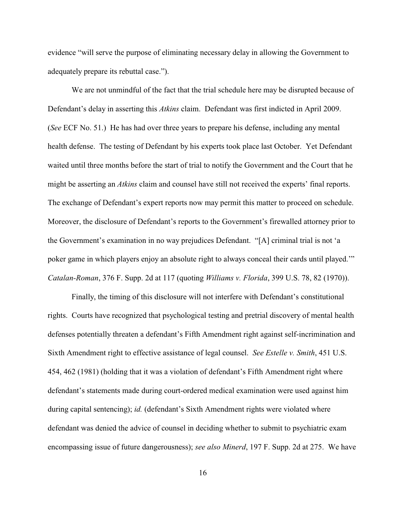evidence "will serve the purpose of eliminating necessary delay in allowing the Government to adequately prepare its rebuttal case.").

We are not unmindful of the fact that the trial schedule here may be disrupted because of Defendant's delay in asserting this *Atkins* claim. Defendant was first indicted in April 2009. (*See* ECF No. 51.) He has had over three years to prepare his defense, including any mental health defense. The testing of Defendant by his experts took place last October. Yet Defendant waited until three months before the start of trial to notify the Government and the Court that he might be asserting an *Atkins* claim and counsel have still not received the experts' final reports. The exchange of Defendant's expert reports now may permit this matter to proceed on schedule. Moreover, the disclosure of Defendant's reports to the Government's firewalled attorney prior to the Government's examination in no way prejudices Defendant. "[A] criminal trial is not 'a poker game in which players enjoy an absolute right to always conceal their cards until played.'" *Catalan-Roman*, 376 F. Supp. 2d at 117 (quoting *Williams v. Florida*, 399 U.S. 78, 82 (1970)).

Finally, the timing of this disclosure will not interfere with Defendant's constitutional rights. Courts have recognized that psychological testing and pretrial discovery of mental health defenses potentially threaten a defendant's Fifth Amendment right against self-incrimination and Sixth Amendment right to effective assistance of legal counsel. *See Estelle v. Smith*, 451 U.S. 454, 462 (1981) (holding that it was a violation of defendant's Fifth Amendment right where defendant's statements made during court-ordered medical examination were used against him during capital sentencing); *id.* (defendant's Sixth Amendment rights were violated where defendant was denied the advice of counsel in deciding whether to submit to psychiatric exam encompassing issue of future dangerousness); *see also Minerd*, 197 F. Supp. 2d at 275. We have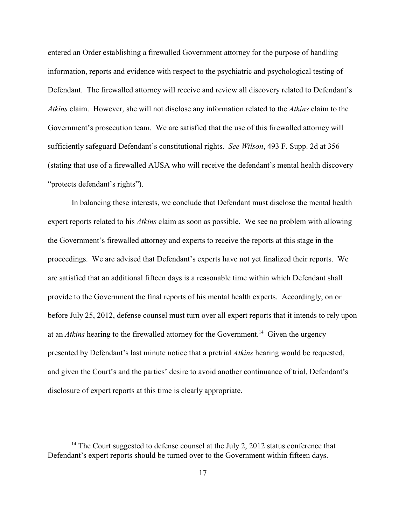entered an Order establishing a firewalled Government attorney for the purpose of handling information, reports and evidence with respect to the psychiatric and psychological testing of Defendant. The firewalled attorney will receive and review all discovery related to Defendant's *Atkins* claim. However, she will not disclose any information related to the *Atkins* claim to the Government's prosecution team. We are satisfied that the use of this firewalled attorney will sufficiently safeguard Defendant's constitutional rights. *See Wilson*, 493 F. Supp. 2d at 356 (stating that use of a firewalled AUSA who will receive the defendant's mental health discovery "protects defendant's rights").

In balancing these interests, we conclude that Defendant must disclose the mental health expert reports related to his *Atkins* claim as soon as possible. We see no problem with allowing the Government's firewalled attorney and experts to receive the reports at this stage in the proceedings. We are advised that Defendant's experts have not yet finalized their reports. We are satisfied that an additional fifteen days is a reasonable time within which Defendant shall provide to the Government the final reports of his mental health experts. Accordingly, on or before July 25, 2012, defense counsel must turn over all expert reports that it intends to rely upon at an *Atkins* hearing to the firewalled attorney for the Government.<sup>14</sup> Given the urgency presented by Defendant's last minute notice that a pretrial *Atkins* hearing would be requested, and given the Court's and the parties' desire to avoid another continuance of trial, Defendant's disclosure of expert reports at this time is clearly appropriate.

<sup>&</sup>lt;sup>14</sup> The Court suggested to defense counsel at the July 2, 2012 status conference that Defendant's expert reports should be turned over to the Government within fifteen days.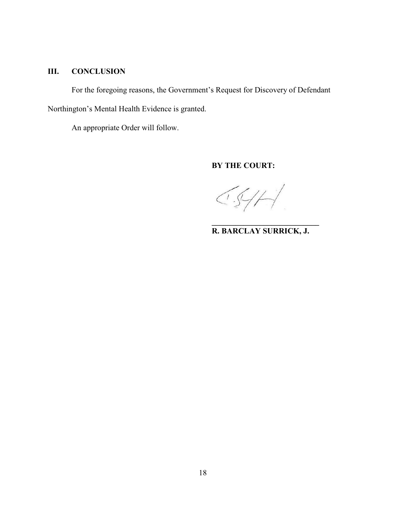# **III. CONCLUSION**

For the foregoing reasons, the Government's Request for Discovery of Defendant Northington's Mental Health Evidence is granted.

An appropriate Order will follow.

**BY THE COURT:**

**R. BARCLAY SURRICK, J.**

**\_\_\_\_\_\_\_\_\_\_\_\_\_\_\_\_\_\_\_\_\_\_\_\_\_\_\_**